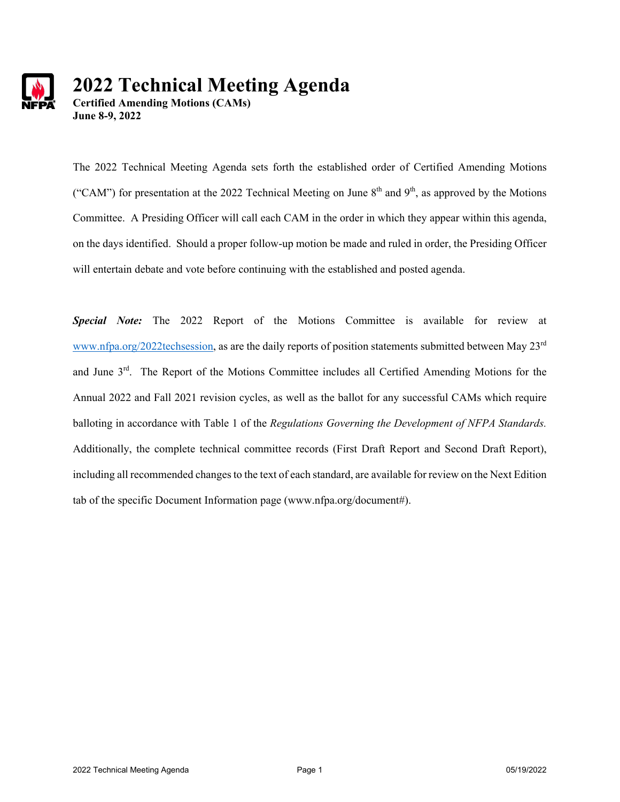

# **2022 Technical Meeting Agenda**

**Certified Amending Motions (CAMs) June 8-9, 2022** 

The 2022 Technical Meeting Agenda sets forth the established order of Certified Amending Motions ("CAM") for presentation at the 2022 Technical Meeting on June  $8<sup>th</sup>$  and  $9<sup>th</sup>$ , as approved by the Motions Committee. A Presiding Officer will call each CAM in the order in which they appear within this agenda, on the days identified. Should a proper follow-up motion be made and ruled in order, the Presiding Officer will entertain debate and vote before continuing with the established and posted agenda.

*Special Note:* The 2022 Report of the Motions Committee is available for review at www.nfpa.org/2022techsession, as are the daily reports of position statements submitted between May 23rd and June 3rd. The Report of the Motions Committee includes all Certified Amending Motions for the Annual 2022 and Fall 2021 revision cycles, as well as the ballot for any successful CAMs which require balloting in accordance with Table 1 of the *Regulations Governing the Development of NFPA Standards.* Additionally, the complete technical committee records (First Draft Report and Second Draft Report), including all recommended changes to the text of each standard, are available for review on the Next Edition tab of the specific Document Information page (www.nfpa.org/document#).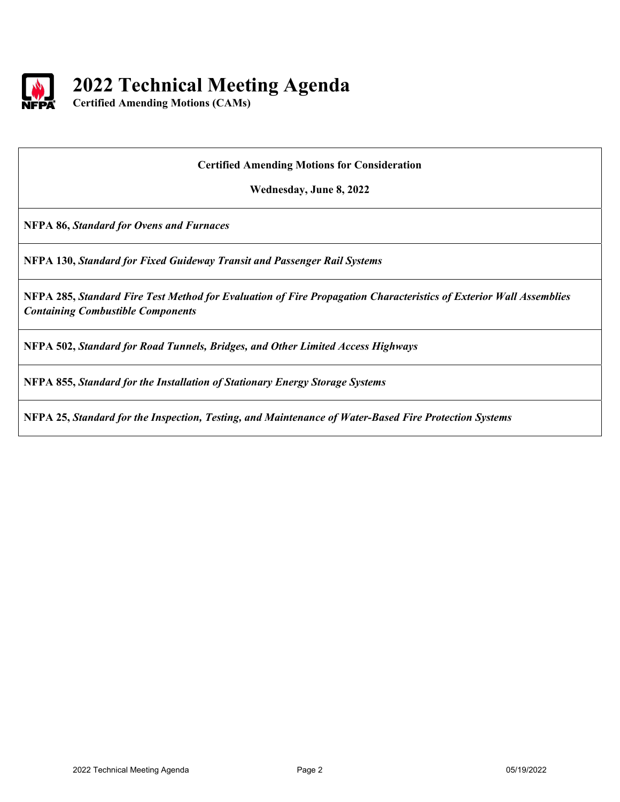

## **2022 Technical Meeting Agenda**

**Certified Amending Motions (CAMs)** 

#### **Certified Amending Motions for Consideration**

**Wednesday, June 8, 2022** 

**NFPA 86,** *Standard for Ovens and Furnaces* 

**NFPA 130,** *Standard for Fixed Guideway Transit and Passenger Rail Systems*

**NFPA 285,** *Standard Fire Test Method for Evaluation of Fire Propagation Characteristics of Exterior Wall Assemblies Containing Combustible Components*

**NFPA 502,** *Standard for Road Tunnels, Bridges, and Other Limited Access Highways*

**NFPA 855,** *Standard for the Installation of Stationary Energy Storage Systems*

**NFPA 25,** *Standard for the Inspection, Testing, and Maintenance of Water-Based Fire Protection Systems*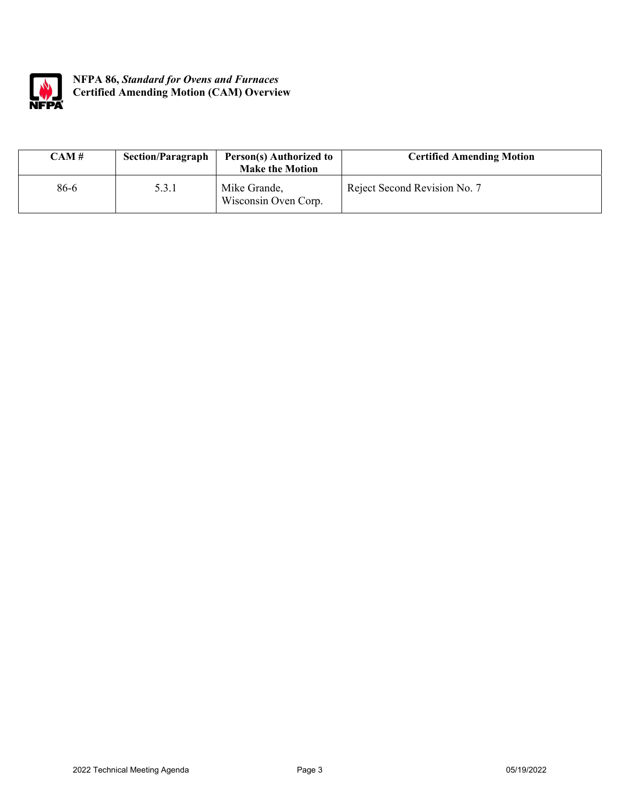

### **NFPA 86,** *Standard for Ovens and Furnaces* **Certified Amending Motion (CAM) Overview**

| CAM # | <b>Section/Paragraph</b> | Person(s) Authorized to<br><b>Make the Motion</b> | <b>Certified Amending Motion</b> |
|-------|--------------------------|---------------------------------------------------|----------------------------------|
| 86-6  | 5.3.1                    | Mike Grande,<br>Wisconsin Oven Corp.              | Reject Second Revision No. 7     |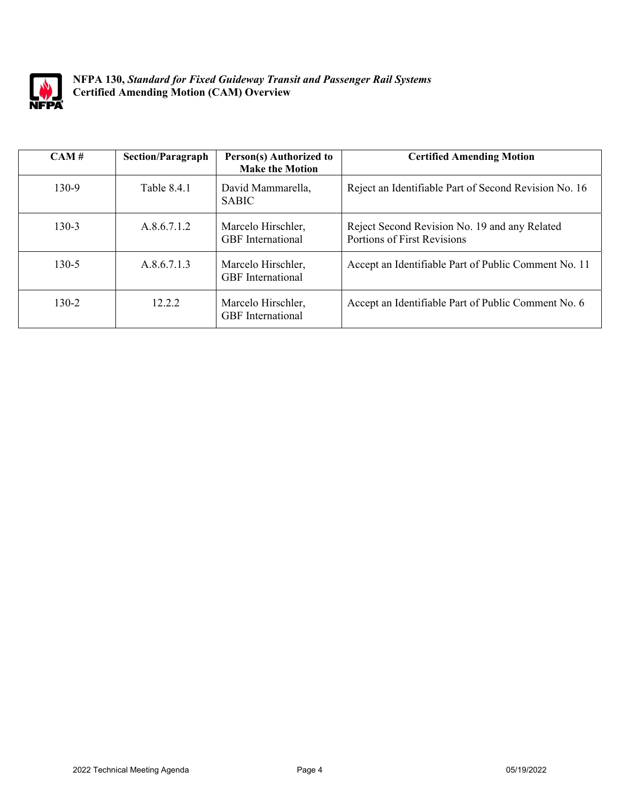

**NFPA 130,** *Standard for Fixed Guideway Transit and Passenger Rail Systems* **Certified Amending Motion (CAM) Overview** 

| CAM#      | <b>Section/Paragraph</b> | Person(s) Authorized to<br><b>Make the Motion</b> | <b>Certified Amending Motion</b>                                             |
|-----------|--------------------------|---------------------------------------------------|------------------------------------------------------------------------------|
| $130-9$   | Table 8.4.1              | David Mammarella,<br><b>SABIC</b>                 | Reject an Identifiable Part of Second Revision No. 16                        |
| $130 - 3$ | A.8.6.7.1.2              | Marcelo Hirschler,<br><b>GBF</b> International    | Reject Second Revision No. 19 and any Related<br>Portions of First Revisions |
| $130 - 5$ | A.8.6.7.1.3              | Marcelo Hirschler,<br><b>GBF</b> International    | Accept an Identifiable Part of Public Comment No. 11                         |
| $130-2$   | 12.2.2                   | Marcelo Hirschler,<br><b>GBF</b> International    | Accept an Identifiable Part of Public Comment No. 6                          |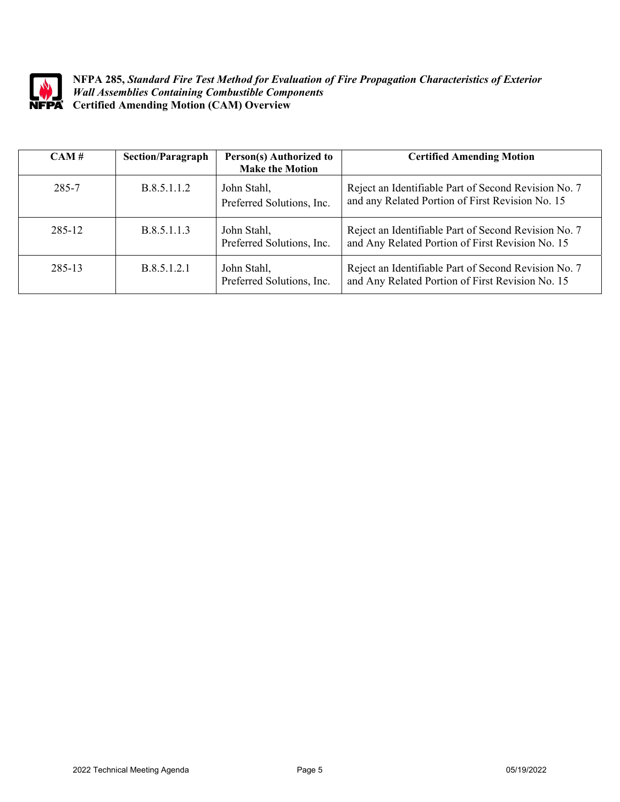

**NFPA 285,** *Standard Fire Test Method for Evaluation of Fire Propagation Characteristics of Exterior Wall Assemblies Containing Combustible Components* **Certified Amending Motion (CAM) Overview** 

| CAM#   | <b>Section/Paragraph</b> | Person(s) Authorized to<br><b>Make the Motion</b> | <b>Certified Amending Motion</b>                                                                         |
|--------|--------------------------|---------------------------------------------------|----------------------------------------------------------------------------------------------------------|
| 285-7  | B.8.5.1.1.2              | John Stahl,<br>Preferred Solutions, Inc.          | Reject an Identifiable Part of Second Revision No. 7<br>and any Related Portion of First Revision No. 15 |
| 285-12 | B.8.5.1.1.3              | John Stahl,<br>Preferred Solutions, Inc.          | Reject an Identifiable Part of Second Revision No. 7<br>and Any Related Portion of First Revision No. 15 |
| 285-13 | B.8.5.1.2.1              | John Stahl,<br>Preferred Solutions, Inc.          | Reject an Identifiable Part of Second Revision No. 7<br>and Any Related Portion of First Revision No. 15 |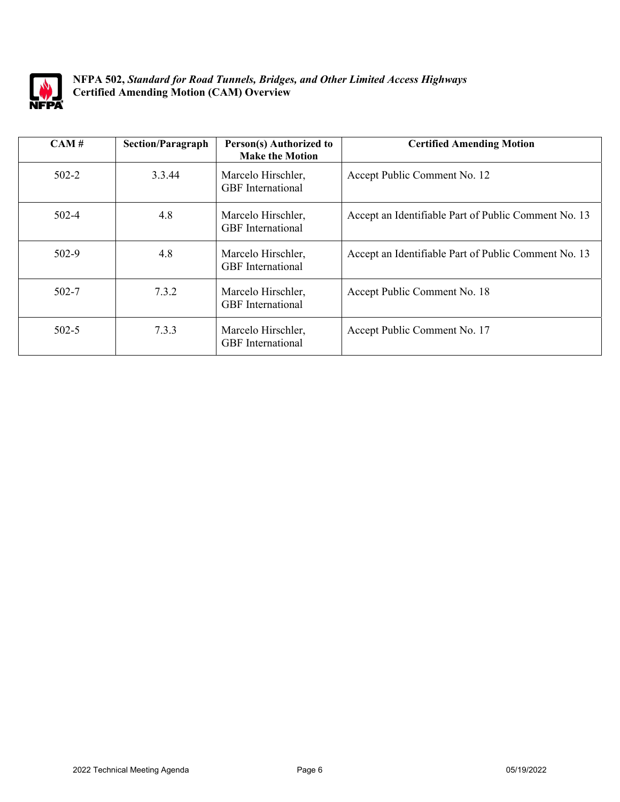

### **NFPA 502,** *Standard for Road Tunnels, Bridges, and Other Limited Access Highways* **Certified Amending Motion (CAM) Overview**

| CAM#      | <b>Section/Paragraph</b> | Person(s) Authorized to<br><b>Make the Motion</b> | <b>Certified Amending Motion</b>                     |
|-----------|--------------------------|---------------------------------------------------|------------------------------------------------------|
| $502 - 2$ | 3.3.44                   | Marcelo Hirschler,<br><b>GBF</b> International    | Accept Public Comment No. 12                         |
| $502 - 4$ | 4.8                      | Marcelo Hirschler,<br><b>GBF</b> International    | Accept an Identifiable Part of Public Comment No. 13 |
| $502 - 9$ | 4.8                      | Marcelo Hirschler,<br><b>GBF</b> International    | Accept an Identifiable Part of Public Comment No. 13 |
| $502 - 7$ | 7.3.2                    | Marcelo Hirschler,<br><b>GBF</b> International    | Accept Public Comment No. 18                         |
| $502 - 5$ | 7.3.3                    | Marcelo Hirschler,<br><b>GBF</b> International    | Accept Public Comment No. 17                         |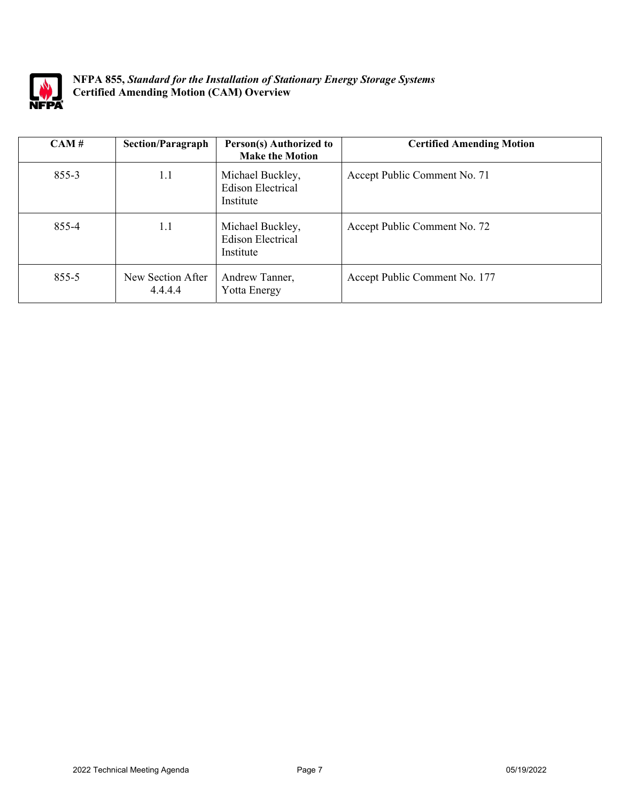

**NFPA 855,** *Standard for the Installation of Stationary Energy Storage Systems* **Certified Amending Motion (CAM) Overview** 

| CAM#      | <b>Section/Paragraph</b>     | Person(s) Authorized to<br><b>Make the Motion</b>         | <b>Certified Amending Motion</b> |
|-----------|------------------------------|-----------------------------------------------------------|----------------------------------|
| $855 - 3$ | 1.1                          | Michael Buckley,<br><b>Edison Electrical</b><br>Institute | Accept Public Comment No. 71     |
| 855-4     | 1.1                          | Michael Buckley,<br><b>Edison Electrical</b><br>Institute | Accept Public Comment No. 72     |
| $855 - 5$ | New Section After<br>4.4.4.4 | Andrew Tanner,<br>Yotta Energy                            | Accept Public Comment No. 177    |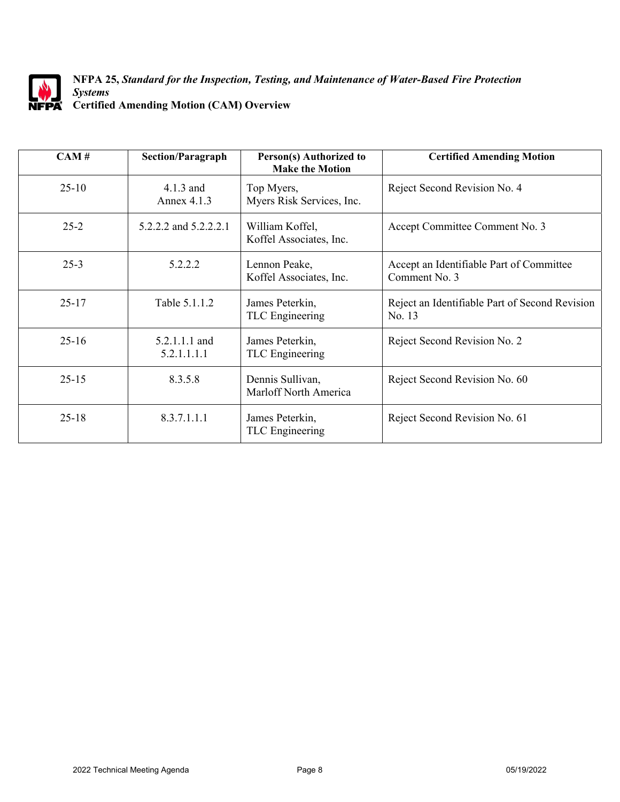

#### **NFPA 25,** *Standard for the Inspection, Testing, and Maintenance of Water-Based Fire Protection Systems* **Certified Amending Motion (CAM) Overview**

| CAM#      | <b>Section/Paragraph</b>     | Person(s) Authorized to<br><b>Make the Motion</b> | <b>Certified Amending Motion</b>                          |
|-----------|------------------------------|---------------------------------------------------|-----------------------------------------------------------|
| $25-10$   | 4.1.3 and<br>Annex 4.1.3     | Top Myers,<br>Myers Risk Services, Inc.           | Reject Second Revision No. 4                              |
| $25 - 2$  | 5.2.2.2 and 5.2.2.2.1        | William Koffel,<br>Koffel Associates, Inc.        | Accept Committee Comment No. 3                            |
| $25 - 3$  | 5.2.2.2                      | Lennon Peake,<br>Koffel Associates, Inc.          | Accept an Identifiable Part of Committee<br>Comment No. 3 |
| $25 - 17$ | Table 5.1.1.2                | James Peterkin,<br>TLC Engineering                | Reject an Identifiable Part of Second Revision<br>No. 13  |
| $25 - 16$ | 5.2.1.1.1 and<br>5.2.1.1.1.1 | James Peterkin,<br>TLC Engineering                | Reject Second Revision No. 2                              |
| $25 - 15$ | 8.3.5.8                      | Dennis Sullivan,<br>Marloff North America         | Reject Second Revision No. 60                             |
| $25 - 18$ | 8.3.7.1.1.1                  | James Peterkin,<br>TLC Engineering                | Reject Second Revision No. 61                             |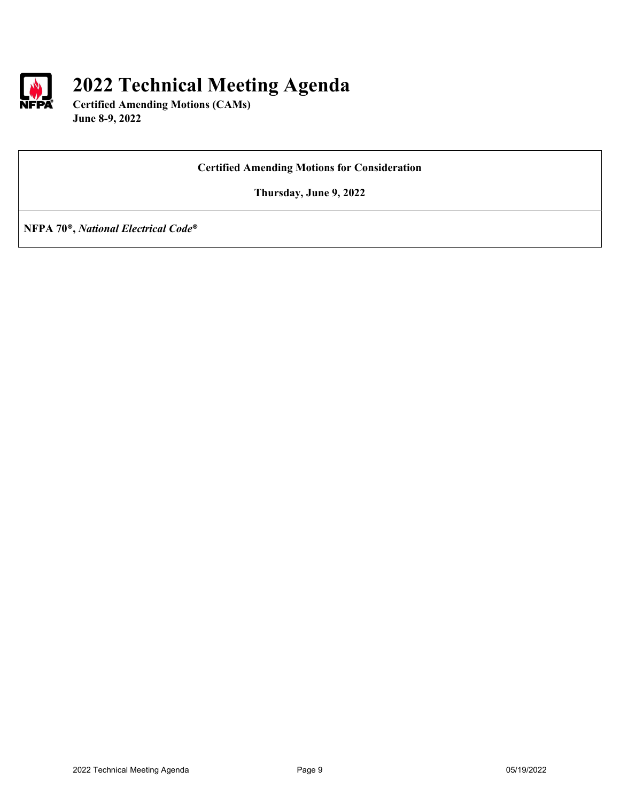

## **2022 Technical Meeting Agenda**

**Certified Amending Motions (CAMs) June 8-9, 2022** 

### **Certified Amending Motions for Consideration**

**Thursday, June 9, 2022** 

**NFPA 70®,** *National Electrical Code***®**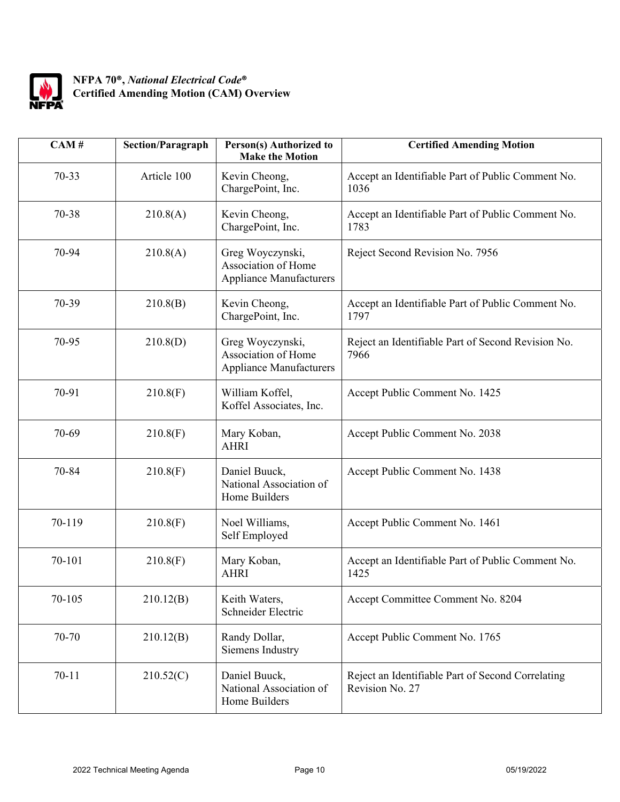

## **NFPA 70®,** *National Electrical Code***® Certified Amending Motion (CAM) Overview**

| CAM#      | <b>Section/Paragraph</b> | <b>Person(s)</b> Authorized to<br><b>Make the Motion</b>                  | <b>Certified Amending Motion</b>                                     |
|-----------|--------------------------|---------------------------------------------------------------------------|----------------------------------------------------------------------|
| $70 - 33$ | Article 100              | Kevin Cheong,<br>ChargePoint, Inc.                                        | Accept an Identifiable Part of Public Comment No.<br>1036            |
| 70-38     | 210.8(A)                 | Kevin Cheong,<br>ChargePoint, Inc.                                        | Accept an Identifiable Part of Public Comment No.<br>1783            |
| 70-94     | 210.8(A)                 | Greg Woyczynski,<br>Association of Home<br><b>Appliance Manufacturers</b> | Reject Second Revision No. 7956                                      |
| 70-39     | 210.8(B)                 | Kevin Cheong,<br>ChargePoint, Inc.                                        | Accept an Identifiable Part of Public Comment No.<br>1797            |
| 70-95     | 210.8(D)                 | Greg Woyczynski,<br>Association of Home<br><b>Appliance Manufacturers</b> | Reject an Identifiable Part of Second Revision No.<br>7966           |
| 70-91     | 210.8(F)                 | William Koffel,<br>Koffel Associates, Inc.                                | Accept Public Comment No. 1425                                       |
| 70-69     | 210.8(F)                 | Mary Koban,<br><b>AHRI</b>                                                | Accept Public Comment No. 2038                                       |
| 70-84     | 210.8(F)                 | Daniel Buuck,<br>National Association of<br>Home Builders                 | Accept Public Comment No. 1438                                       |
| 70-119    | 210.8(F)                 | Noel Williams,<br>Self Employed                                           | Accept Public Comment No. 1461                                       |
| 70-101    | 210.8(F)                 | Mary Koban,<br><b>AHRI</b>                                                | Accept an Identifiable Part of Public Comment No.<br>1425            |
| 70-105    | 210.12(B)                | Keith Waters,<br>Schneider Electric                                       | Accept Committee Comment No. 8204                                    |
| 70-70     | 210.12(B)                | Randy Dollar,<br>Siemens Industry                                         | Accept Public Comment No. 1765                                       |
| $70 - 11$ | 210.52(C)                | Daniel Buuck,<br>National Association of<br>Home Builders                 | Reject an Identifiable Part of Second Correlating<br>Revision No. 27 |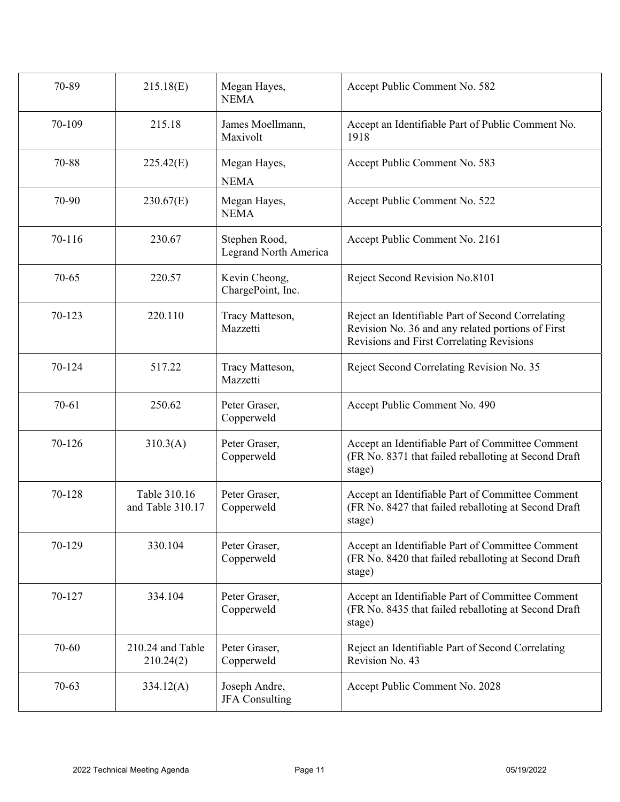| 70-89     | 215.18(E)                        | Megan Hayes,<br><b>NEMA</b>            | Accept Public Comment No. 582                                                                                                                       |
|-----------|----------------------------------|----------------------------------------|-----------------------------------------------------------------------------------------------------------------------------------------------------|
| 70-109    | 215.18                           | James Moellmann,<br>Maxivolt           | Accept an Identifiable Part of Public Comment No.<br>1918                                                                                           |
| 70-88     | 225.42(E)                        | Megan Hayes,<br><b>NEMA</b>            | Accept Public Comment No. 583                                                                                                                       |
| 70-90     | 230.67(E)                        | Megan Hayes,<br><b>NEMA</b>            | Accept Public Comment No. 522                                                                                                                       |
| 70-116    | 230.67                           | Stephen Rood,<br>Legrand North America | Accept Public Comment No. 2161                                                                                                                      |
| $70 - 65$ | 220.57                           | Kevin Cheong,<br>ChargePoint, Inc.     | Reject Second Revision No.8101                                                                                                                      |
| 70-123    | 220.110                          | Tracy Matteson,<br>Mazzetti            | Reject an Identifiable Part of Second Correlating<br>Revision No. 36 and any related portions of First<br>Revisions and First Correlating Revisions |
| 70-124    | 517.22                           | Tracy Matteson,<br>Mazzetti            | Reject Second Correlating Revision No. 35                                                                                                           |
| $70 - 61$ | 250.62                           | Peter Graser,<br>Copperweld            | Accept Public Comment No. 490                                                                                                                       |
| 70-126    | 310.3(A)                         | Peter Graser,<br>Copperweld            | Accept an Identifiable Part of Committee Comment<br>(FR No. 8371 that failed reballoting at Second Draft<br>stage)                                  |
| 70-128    | Table 310.16<br>and Table 310.17 | Peter Graser,<br>Copperweld            | Accept an Identifiable Part of Committee Comment<br>(FR No. 8427 that failed reballoting at Second Draft<br>stage)                                  |
| 70-129    | 330.104                          | Peter Graser,<br>Copperweld            | Accept an Identifiable Part of Committee Comment<br>(FR No. 8420 that failed reballoting at Second Draft<br>stage)                                  |
| 70-127    | 334.104                          | Peter Graser,<br>Copperweld            | Accept an Identifiable Part of Committee Comment<br>(FR No. 8435 that failed reballoting at Second Draft<br>stage)                                  |
| 70-60     | 210.24 and Table<br>210.24(2)    | Peter Graser,<br>Copperweld            | Reject an Identifiable Part of Second Correlating<br>Revision No. 43                                                                                |
| $70 - 63$ | 334.12(A)                        | Joseph Andre,<br><b>JFA</b> Consulting | Accept Public Comment No. 2028                                                                                                                      |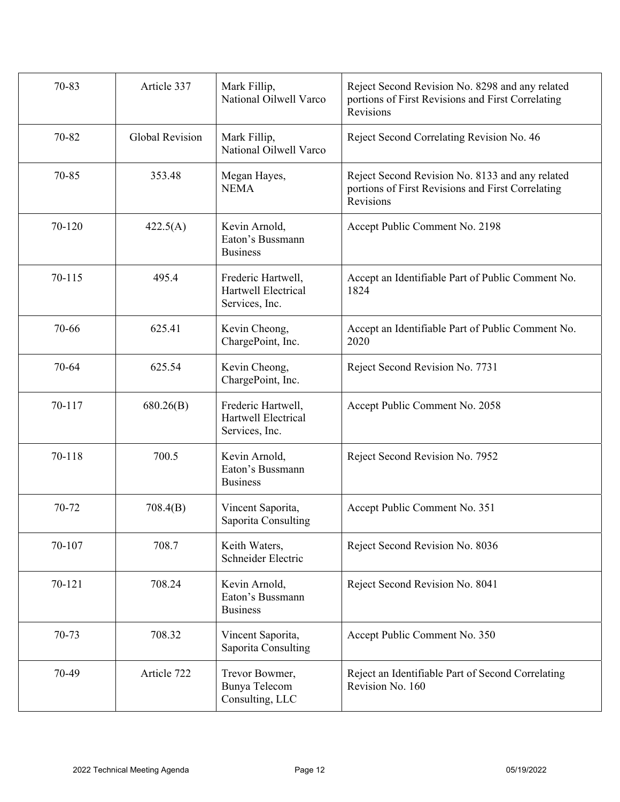| 70-83  | Article 337            | Mark Fillip,<br>National Oilwell Varco                      | Reject Second Revision No. 8298 and any related<br>portions of First Revisions and First Correlating<br>Revisions |
|--------|------------------------|-------------------------------------------------------------|-------------------------------------------------------------------------------------------------------------------|
| 70-82  | <b>Global Revision</b> | Mark Fillip,<br>National Oilwell Varco                      | Reject Second Correlating Revision No. 46                                                                         |
| 70-85  | 353.48                 | Megan Hayes,<br><b>NEMA</b>                                 | Reject Second Revision No. 8133 and any related<br>portions of First Revisions and First Correlating<br>Revisions |
| 70-120 | 422.5(A)               | Kevin Arnold,<br>Eaton's Bussmann<br><b>Business</b>        | Accept Public Comment No. 2198                                                                                    |
| 70-115 | 495.4                  | Frederic Hartwell,<br>Hartwell Electrical<br>Services, Inc. | Accept an Identifiable Part of Public Comment No.<br>1824                                                         |
| 70-66  | 625.41                 | Kevin Cheong,<br>ChargePoint, Inc.                          | Accept an Identifiable Part of Public Comment No.<br>2020                                                         |
| 70-64  | 625.54                 | Kevin Cheong,<br>ChargePoint, Inc.                          | Reject Second Revision No. 7731                                                                                   |
| 70-117 | 680.26(B)              | Frederic Hartwell,<br>Hartwell Electrical<br>Services, Inc. | Accept Public Comment No. 2058                                                                                    |
| 70-118 | 700.5                  | Kevin Arnold,<br>Eaton's Bussmann<br><b>Business</b>        | Reject Second Revision No. 7952                                                                                   |
| 70-72  | 708.4(B)               | Vincent Saporita,<br>Saporita Consulting                    | Accept Public Comment No. 351                                                                                     |
| 70-107 | 708.7                  | Keith Waters,<br>Schneider Electric                         | Reject Second Revision No. 8036                                                                                   |
| 70-121 | 708.24                 | Kevin Arnold,<br>Eaton's Bussmann<br><b>Business</b>        | Reject Second Revision No. 8041                                                                                   |
| 70-73  | 708.32                 | Vincent Saporita,<br>Saporita Consulting                    | Accept Public Comment No. 350                                                                                     |
| 70-49  | Article 722            | Trevor Bowmer,<br>Bunya Telecom<br>Consulting, LLC          | Reject an Identifiable Part of Second Correlating<br>Revision No. 160                                             |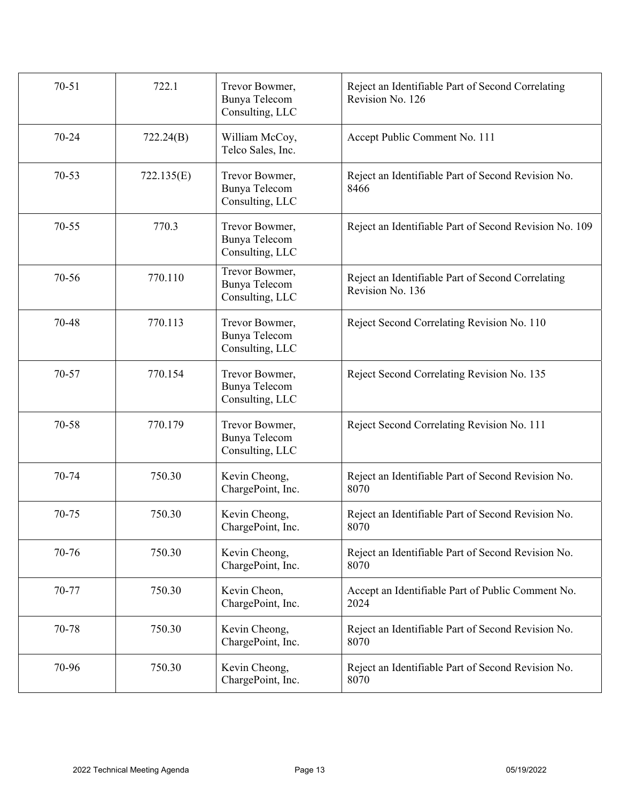| $70 - 51$ | 722.1      | Trevor Bowmer,<br>Bunya Telecom<br>Consulting, LLC | Reject an Identifiable Part of Second Correlating<br>Revision No. 126 |
|-----------|------------|----------------------------------------------------|-----------------------------------------------------------------------|
| 70-24     | 722.24(B)  | William McCoy,<br>Telco Sales, Inc.                | Accept Public Comment No. 111                                         |
| $70 - 53$ | 722.135(E) | Trevor Bowmer,<br>Bunya Telecom<br>Consulting, LLC | Reject an Identifiable Part of Second Revision No.<br>8466            |
| $70 - 55$ | 770.3      | Trevor Bowmer,<br>Bunya Telecom<br>Consulting, LLC | Reject an Identifiable Part of Second Revision No. 109                |
| $70 - 56$ | 770.110    | Trevor Bowmer,<br>Bunya Telecom<br>Consulting, LLC | Reject an Identifiable Part of Second Correlating<br>Revision No. 136 |
| 70-48     | 770.113    | Trevor Bowmer,<br>Bunya Telecom<br>Consulting, LLC | Reject Second Correlating Revision No. 110                            |
| 70-57     | 770.154    | Trevor Bowmer,<br>Bunya Telecom<br>Consulting, LLC | Reject Second Correlating Revision No. 135                            |
| 70-58     | 770.179    | Trevor Bowmer,<br>Bunya Telecom<br>Consulting, LLC | Reject Second Correlating Revision No. 111                            |
| 70-74     | 750.30     | Kevin Cheong,<br>ChargePoint, Inc.                 | Reject an Identifiable Part of Second Revision No.<br>8070            |
| 70-75     | 750.30     | Kevin Cheong,<br>ChargePoint, Inc.                 | Reject an Identifiable Part of Second Revision No.<br>8070            |
| 70-76     | 750.30     | Kevin Cheong,<br>ChargePoint, Inc.                 | Reject an Identifiable Part of Second Revision No.<br>8070            |
| 70-77     | 750.30     | Kevin Cheon,<br>ChargePoint, Inc.                  | Accept an Identifiable Part of Public Comment No.<br>2024             |
| 70-78     | 750.30     | Kevin Cheong,<br>ChargePoint, Inc.                 | Reject an Identifiable Part of Second Revision No.<br>8070            |
| 70-96     | 750.30     | Kevin Cheong,<br>ChargePoint, Inc.                 | Reject an Identifiable Part of Second Revision No.<br>8070            |